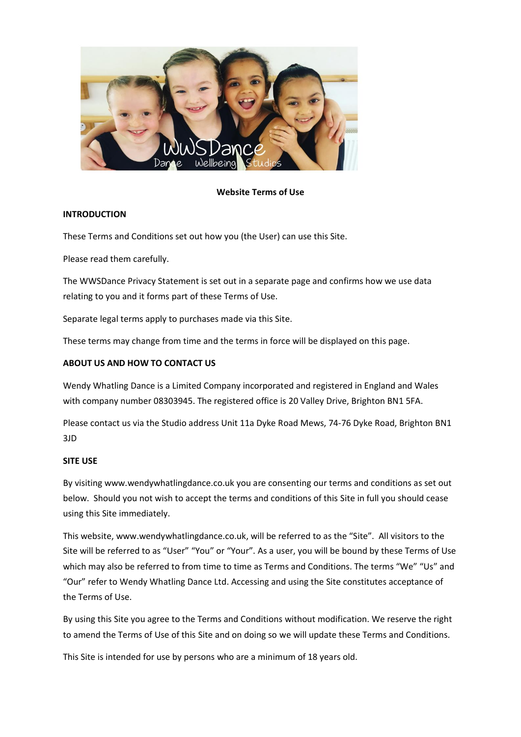

## **Website Terms of Use**

## **INTRODUCTION**

These Terms and Conditions set out how you (the User) can use this Site.

Please read them carefully.

The WWSDance Privacy Statement is set out in a separate page and confirms how we use data relating to you and it forms part of these Terms of Use.

Separate legal terms apply to purchases made via this Site.

These terms may change from time and the terms in force will be displayed on this page.

# **ABOUT US AND HOW TO CONTACT US**

Wendy Whatling Dance is a Limited Company incorporated and registered in England and Wales with company number 08303945. The registered office is 20 Valley Drive, Brighton BN1 5FA.

Please contact us via the Studio address Unit 11a Dyke Road Mews, 74-76 Dyke Road, Brighton BN1 3JD

### **SITE USE**

By visiting www.wendywhatlingdance.co.uk you are consenting our terms and conditions as set out below. Should you not wish to accept the terms and conditions of this Site in full you should cease using this Site immediately.

This website, www.wendywhatlingdance.co.uk, will be referred to as the "Site". All visitors to the Site will be referred to as "User" "You" or "Your". As a user, you will be bound by these Terms of Use which may also be referred to from time to time as Terms and Conditions. The terms "We" "Us" and "Our" refer to Wendy Whatling Dance Ltd. Accessing and using the Site constitutes acceptance of the Terms of Use.

By using this Site you agree to the Terms and Conditions without modification. We reserve the right to amend the Terms of Use of this Site and on doing so we will update these Terms and Conditions.

This Site is intended for use by persons who are a minimum of 18 years old.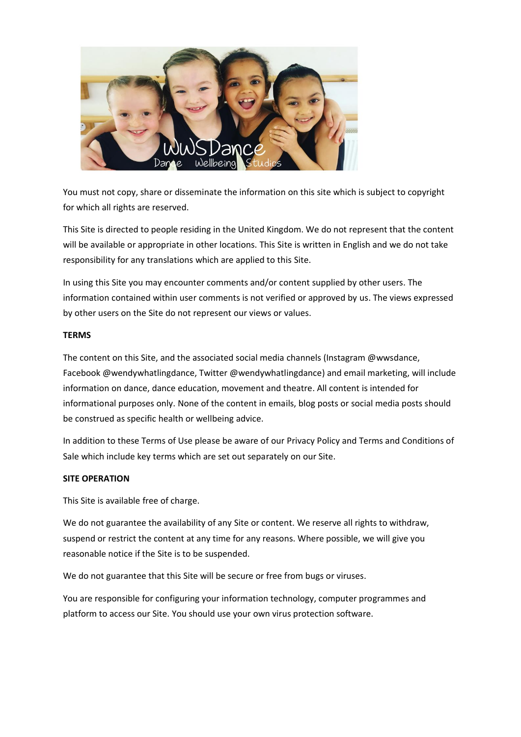

You must not copy, share or disseminate the information on this site which is subject to copyright for which all rights are reserved.

This Site is directed to people residing in the United Kingdom. We do not represent that the content will be available or appropriate in other locations. This Site is written in English and we do not take responsibility for any translations which are applied to this Site.

In using this Site you may encounter comments and/or content supplied by other users. The information contained within user comments is not verified or approved by us. The views expressed by other users on the Site do not represent our views or values.

### **TERMS**

The content on this Site, and the associated social media channels (Instagram @wwsdance, Facebook @wendywhatlingdance, Twitter @wendywhatlingdance) and email marketing, will include information on dance, dance education, movement and theatre. All content is intended for informational purposes only. None of the content in emails, blog posts or social media posts should be construed as specific health or wellbeing advice.

In addition to these Terms of Use please be aware of our Privacy Policy and Terms and Conditions of Sale which include key terms which are set out separately on our Site.

### **SITE OPERATION**

This Site is available free of charge.

We do not guarantee the availability of any Site or content. We reserve all rights to withdraw, suspend or restrict the content at any time for any reasons. Where possible, we will give you reasonable notice if the Site is to be suspended.

We do not guarantee that this Site will be secure or free from bugs or viruses.

You are responsible for configuring your information technology, computer programmes and platform to access our Site. You should use your own virus protection software.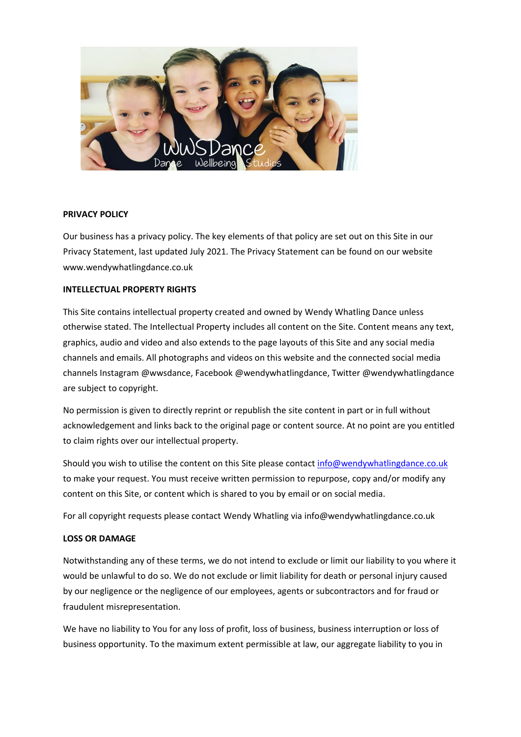

### **PRIVACY POLICY**

Our business has a privacy policy. The key elements of that policy are set out on this Site in our Privacy Statement, last updated July 2021. The Privacy Statement can be found on our website www.wendywhatlingdance.co.uk

### **INTELLECTUAL PROPERTY RIGHTS**

This Site contains intellectual property created and owned by Wendy Whatling Dance unless otherwise stated. The Intellectual Property includes all content on the Site. Content means any text, graphics, audio and video and also extends to the page layouts of this Site and any social media channels and emails. All photographs and videos on this website and the connected social media channels Instagram @wwsdance, Facebook @wendywhatlingdance, Twitter @wendywhatlingdance are subject to copyright.

No permission is given to directly reprint or republish the site content in part or in full without acknowledgement and links back to the original page or content source. At no point are you entitled to claim rights over our intellectual property.

Should you wish to utilise the content on this Site please contact [info@wendywhatlingdance.co.uk](mailto:info@wendywhatlingdance.co.uk) to make your request. You must receive written permission to repurpose, copy and/or modify any content on this Site, or content which is shared to you by email or on social media.

For all copyright requests please contact Wendy Whatling via info@wendywhatlingdance.co.uk

#### **LOSS OR DAMAGE**

Notwithstanding any of these terms, we do not intend to exclude or limit our liability to you where it would be unlawful to do so. We do not exclude or limit liability for death or personal injury caused by our negligence or the negligence of our employees, agents or subcontractors and for fraud or fraudulent misrepresentation.

We have no liability to You for any loss of profit, loss of business, business interruption or loss of business opportunity. To the maximum extent permissible at law, our aggregate liability to you in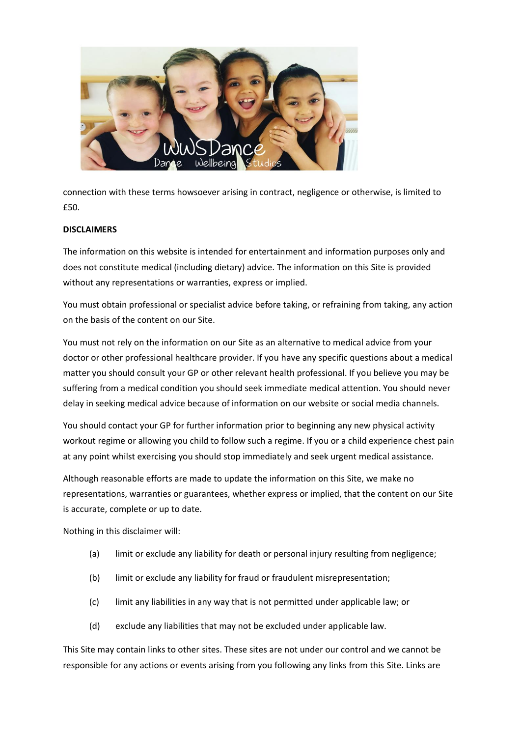

connection with these terms howsoever arising in contract, negligence or otherwise, is limited to £50.

## **DISCLAIMERS**

The information on this website is intended for entertainment and information purposes only and does not constitute medical (including dietary) advice. The information on this Site is provided without any representations or warranties, express or implied.

You must obtain professional or specialist advice before taking, or refraining from taking, any action on the basis of the content on our Site.

You must not rely on the information on our Site as an alternative to medical advice from your doctor or other professional healthcare provider. If you have any specific questions about a medical matter you should consult your GP or other relevant health professional. If you believe you may be suffering from a medical condition you should seek immediate medical attention. You should never delay in seeking medical advice because of information on our website or social media channels.

You should contact your GP for further information prior to beginning any new physical activity workout regime or allowing you child to follow such a regime. If you or a child experience chest pain at any point whilst exercising you should stop immediately and seek urgent medical assistance.

Although reasonable efforts are made to update the information on this Site, we make no representations, warranties or guarantees, whether express or implied, that the content on our Site is accurate, complete or up to date.

Nothing in this disclaimer will:

- (a) limit or exclude any liability for death or personal injury resulting from negligence;
- (b) limit or exclude any liability for fraud or fraudulent misrepresentation;
- (c) limit any liabilities in any way that is not permitted under applicable law; or
- (d) exclude any liabilities that may not be excluded under applicable law.

This Site may contain links to other sites. These sites are not under our control and we cannot be responsible for any actions or events arising from you following any links from this Site. Links are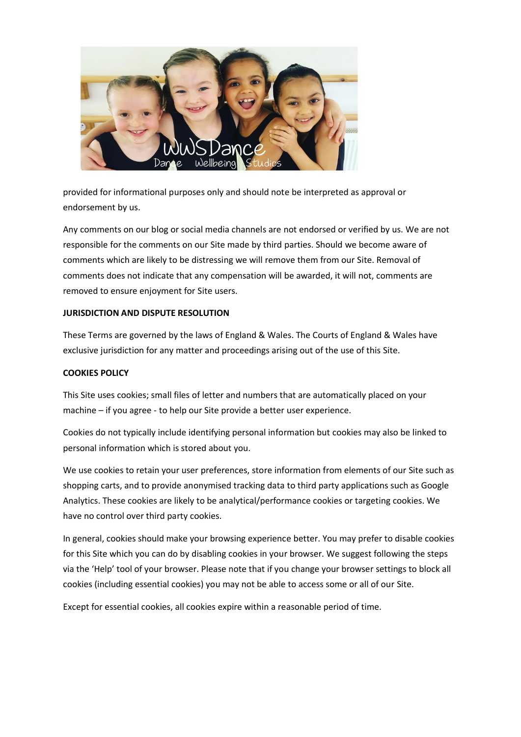

provided for informational purposes only and should note be interpreted as approval or endorsement by us.

Any comments on our blog or social media channels are not endorsed or verified by us. We are not responsible for the comments on our Site made by third parties. Should we become aware of comments which are likely to be distressing we will remove them from our Site. Removal of comments does not indicate that any compensation will be awarded, it will not, comments are removed to ensure enjoyment for Site users.

## **JURISDICTION AND DISPUTE RESOLUTION**

These Terms are governed by the laws of England & Wales. The Courts of England & Wales have exclusive jurisdiction for any matter and proceedings arising out of the use of this Site.

## **COOKIES POLICY**

This Site uses cookies; small files of letter and numbers that are automatically placed on your machine – if you agree - to help our Site provide a better user experience.

Cookies do not typically include identifying personal information but cookies may also be linked to personal information which is stored about you.

We use cookies to retain your user preferences, store information from elements of our Site such as shopping carts, and to provide anonymised tracking data to third party applications such as Google Analytics. These cookies are likely to be analytical/performance cookies or targeting cookies. We have no control over third party cookies.

In general, cookies should make your browsing experience better. You may prefer to disable cookies for this Site which you can do by disabling cookies in your browser. We suggest following the steps via the 'Help' tool of your browser. Please note that if you change your browser settings to block all cookies (including essential cookies) you may not be able to access some or all of our Site.

Except for essential cookies, all cookies expire within a reasonable period of time.